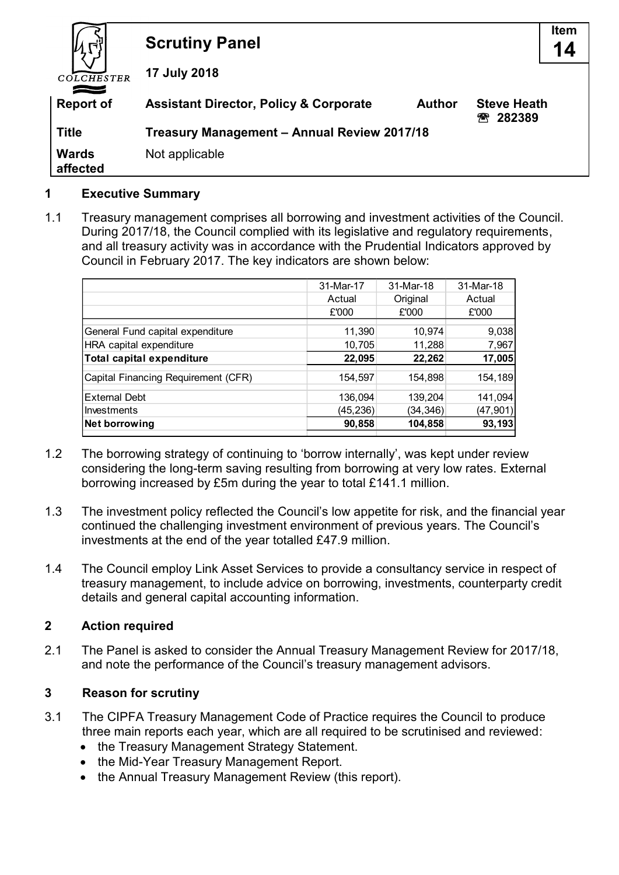|                          | <b>Scrutiny Panel</b>                                                                                   | <b>Item</b><br>14 |  |
|--------------------------|---------------------------------------------------------------------------------------------------------|-------------------|--|
| COLCHESTER               | 17 July 2018                                                                                            |                   |  |
| <b>Report of</b>         | <b>Assistant Director, Policy &amp; Corporate</b><br><b>Steve Heath</b><br><b>Author</b><br>282389<br>冞 |                   |  |
| <b>Title</b>             | Treasury Management - Annual Review 2017/18                                                             |                   |  |
| <b>Wards</b><br>affected | Not applicable                                                                                          |                   |  |

#### **1 Executive Summary**

1.1 Treasury management comprises all borrowing and investment activities of the Council. During 2017/18, the Council complied with its legislative and regulatory requirements, and all treasury activity was in accordance with the Prudential Indicators approved by Council in February 2017. The key indicators are shown below:

|                                     | 31-Mar-17 | 31-Mar-18 | 31-Mar-18 |
|-------------------------------------|-----------|-----------|-----------|
|                                     | Actual    | Original  | Actual    |
|                                     | £'000     | £'000     | £'000     |
| General Fund capital expenditure    | 11,390    | 10,974    | 9,038     |
| HRA capital expenditure             | 10,705    | 11,288    | 7,967     |
| Total capital expenditure           | 22,095    | 22,262    | 17,005    |
| Capital Financing Requirement (CFR) | 154,597   | 154,898   | 154,189   |
| <b>External Debt</b>                | 136,094   | 139,204   | 141,094   |
| lInvestments                        | (45, 236) | (34, 346) | (47, 901) |
| Net borrowing                       | 90,858    | 104,858   | 93,193    |
|                                     |           |           |           |

- 1.2 The borrowing strategy of continuing to 'borrow internally', was kept under review considering the long-term saving resulting from borrowing at very low rates. External borrowing increased by £5m during the year to total £141.1 million.
- 1.3 The investment policy reflected the Council's low appetite for risk, and the financial year continued the challenging investment environment of previous years. The Council's investments at the end of the year totalled £47.9 million.
- 1.4 The Council employ Link Asset Services to provide a consultancy service in respect of treasury management, to include advice on borrowing, investments, counterparty credit details and general capital accounting information.

## **2 Action required**

2.1 The Panel is asked to consider the Annual Treasury Management Review for 2017/18, and note the performance of the Council's treasury management advisors.

## **3 Reason for scrutiny**

- 3.1 The CIPFA Treasury Management Code of Practice requires the Council to produce three main reports each year, which are all required to be scrutinised and reviewed:
	- the Treasury Management Strategy Statement.
	- the Mid-Year Treasury Management Report.
	- the Annual Treasury Management Review (this report).